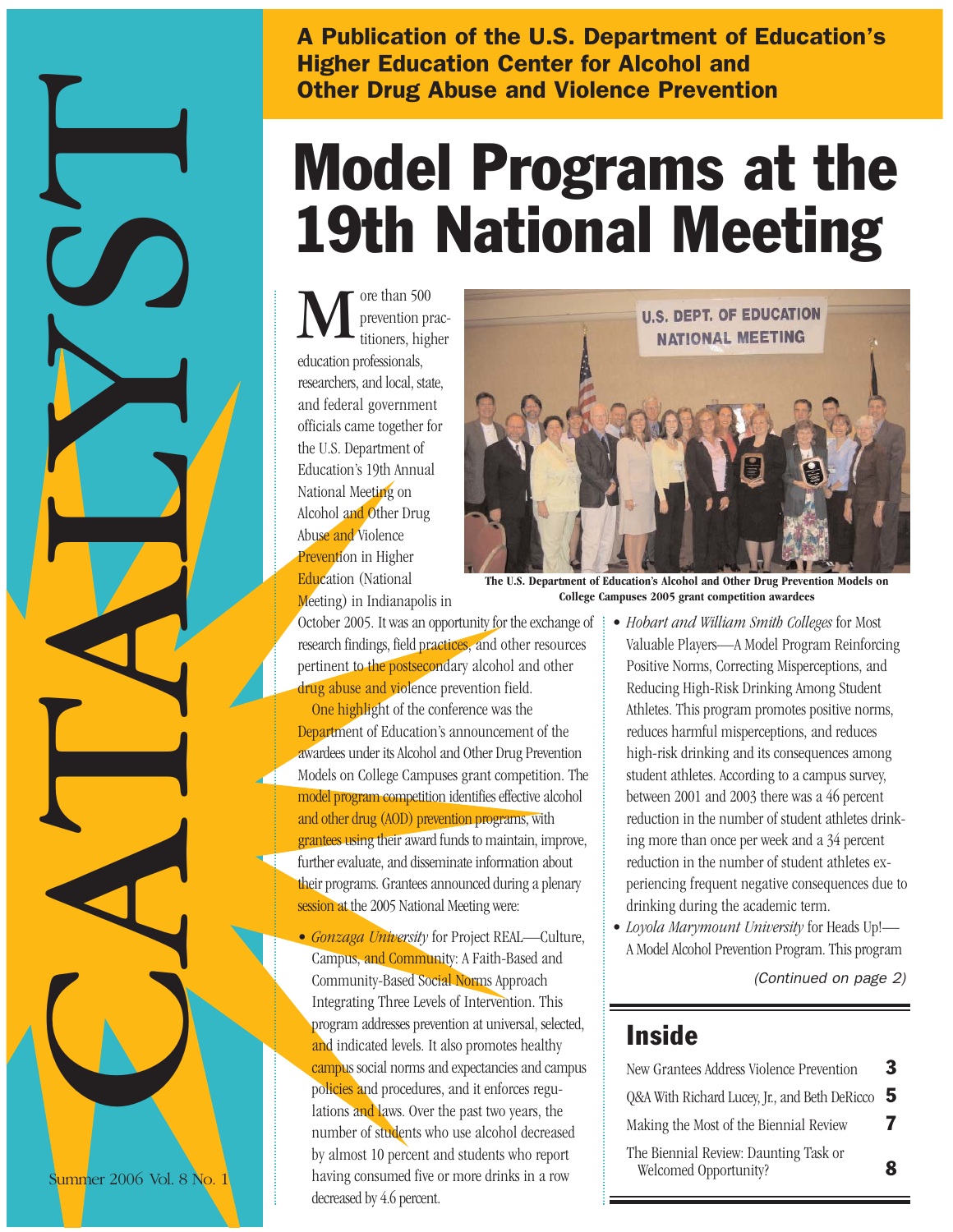A Publication of the U.S. Department of Education's Higher Education Center for Alcohol and Other Drug Abuse and Violence Prevention

# 19th National Meeting

ore than 500 prevention practitioners, higher education professionals, researchers, and local, state, and federal government officials came together for the U.S. Department of Education's 19th Annual National Meeting on Alcohol and Other Drug Abuse and Violence Prevention in Higher Education (National Meeting) in Indianapolis in M



October 2005. It was an opportunity for the exchange of research findings, field practices, and other resources pertinent to the postsecondary alcohol and other drug abuse and violence prevention field. One highlight of the conference was the Department of Education's announcement of the awardees under its Alcohol and Other Drug Prevention Models on College Campuses grant competition. The model program competition identifies effective alcohol and other drug (AOD) prevention programs, with grantees using their award funds to maintain, improve, further evaluate, and disseminate information about their programs. Grantees announced during a plenary session at the 2005 National Meeting were:

• *Gonzaga University* for Project REAL—Culture, Campus, and Community: A Faith-Based and Community-Based Social Norms Approach Integrating Three Levels of Intervention. This program addresses prevention at universal, selected, and indicated levels. It also promotes healthy campus social norms and expectancies and campus policies and procedures, and it enforces regulations and laws. Over the past two years, the number of students who use alcohol decreased by almost 10 percent and students who report having consumed five or more drinks in a row decreased by 4.6 percent.

**The U.S. Department of Education's Alcohol and Other Drug Prevention Models on College Campuses 2005 grant competition awardees** 

- *Hobart and William Smith Colleges* for Most Valuable Players—A Model Program Reinforcing Positive Norms, Correcting Misperceptions, and Reducing High-Risk Drinking Among Student Athletes. This program promotes positive norms, reduces harmful misperceptions, and reduces high-risk drinking and its consequences among student athletes. According to a campus survey, between 2001 and 2003 there was a 46 percent reduction in the number of student athletes drinking more than once per week and a 34 percent reduction in the number of student athletes experiencing frequent negative consequences due to drinking during the academic term.
- *Loyola Marymount University* for Heads Up!— A Model Alcohol Prevention Program. This program

(Continued on page 2)

## **Inside**

| New Grantees Address Violence Prevention                       | 3 |
|----------------------------------------------------------------|---|
| Q&A With Richard Lucey, Jr., and Beth DeRicco                  | 5 |
| Making the Most of the Biennial Review                         | 7 |
| The Biennial Review: Daunting Task or<br>Welcomed Opportunity? | 8 |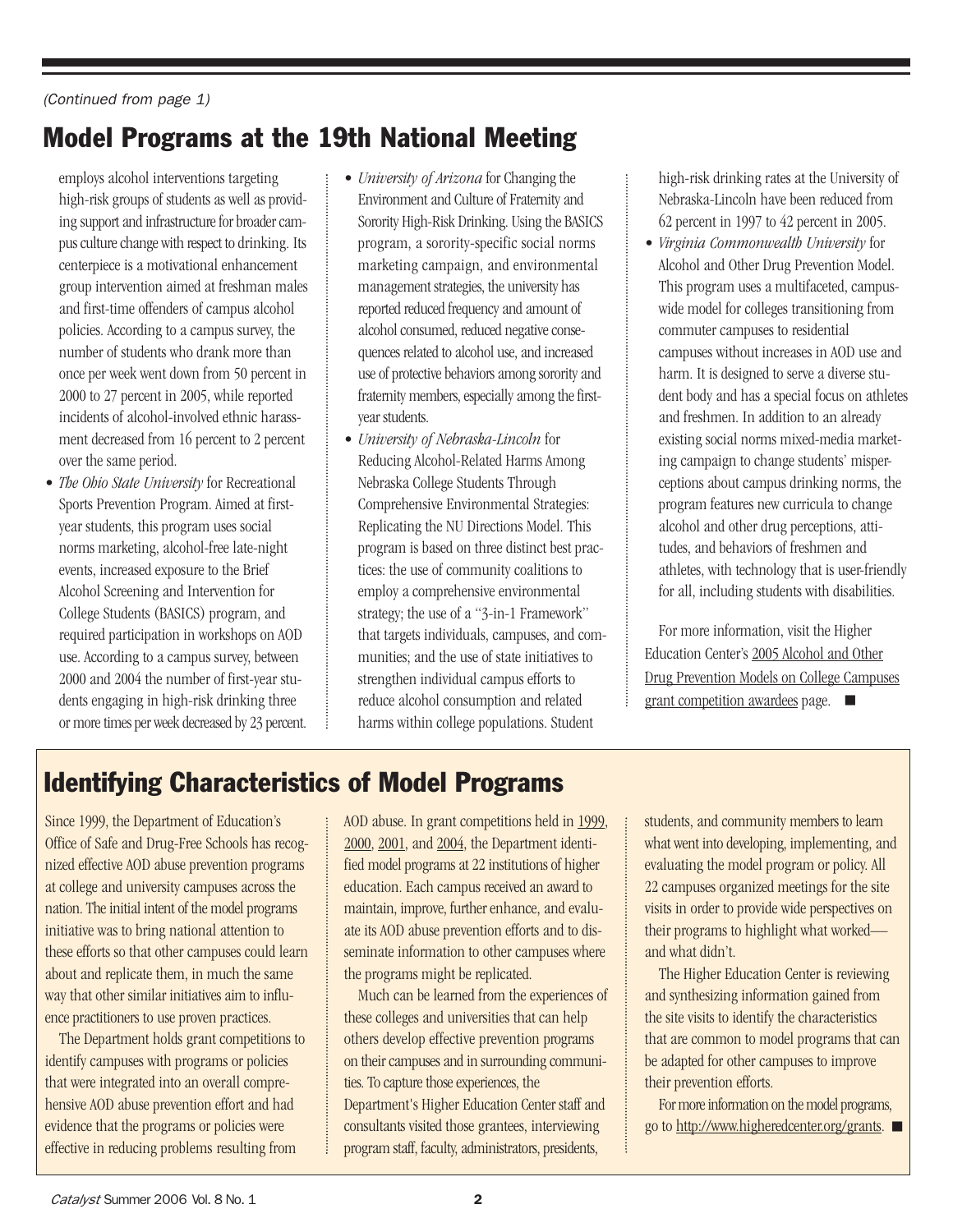#### (Continued from page 1)

# Model Programs at the 19th National Meeting

employs alcohol interventions targeting high-risk groups of students as well as providing support and infrastructure for broader campus culture change with respect to drinking. Its centerpiece is a motivational enhancement group intervention aimed at freshman males and first-time offenders of campus alcohol policies. According to a campus survey, the number of students who drank more than once per week went down from 50 percent in 2000 to 27 percent in 2005, while reported incidents of alcohol-involved ethnic harassment decreased from 16 percent to 2 percent over the same period.

- *The Ohio State University* for Recreational Sports Prevention Program. Aimed at firstyear students, this program uses social norms marketing, alcohol-free late-night events, increased exposure to the Brief Alcohol Screening and Intervention for College Students (BASICS) program, and required participation in workshops on AOD use. According to a campus survey, between 2000 and 2004 the number of first-year students engaging in high-risk drinking three or more times per week decreased by 23 percent.
- *University of Arizona* for Changing the Environment and Culture of Fraternity and Sorority High-Risk Drinking. Using the BASICS program, a sorority-specific social norms marketing campaign, and environmental management strategies, the university has reported reduced frequency and amount of alcohol consumed, reduced negative consequences related to alcohol use, and increased use of protective behaviors among sorority and fraternity members, especially among the firstyear students.
- *University of Nebraska-Lincoln* for Reducing Alcohol-Related Harms Among Nebraska College Students Through Comprehensive Environmental Strategies: Replicating the NU Directions Model. This program is based on three distinct best practices: the use of community coalitions to employ a comprehensive environmental strategy; the use of a "3-in-1 Framework" that targets individuals, campuses, and communities; and the use of state initiatives to strengthen individual campus efforts to reduce alcohol consumption and related harms within college populations. Student

high-risk drinking rates at the University of Nebraska-Lincoln have been reduced from 62 percent in 1997 to 42 percent in 2005.

• *Virginia Commonwealth University* for Alcohol and Other Drug Prevention Model. This program uses a multifaceted, campuswide model for colleges transitioning from commuter campuses to residential campuses without increases in AOD use and harm. It is designed to serve a diverse student body and has a special focus on athletes and freshmen. In addition to an already existing social norms mixed-media marketing campaign to change students' misperceptions about campus drinking norms, the program features new curricula to change alcohol and other drug perceptions, attitudes, and behaviors of freshmen and athletes, with technology that is user-friendly for all, including students with disabilities.

For more information, visit the Higher Education Center's 2005 Alcohol and Other [Drug Prevention Models on College Campuses](http://www.edc.org/hec/grants/models/0506/winners.html) grant competition awardees page.

# Identifying Characteristics of Model Programs

Since 1999, the Department of Education's Office of Safe and Drug-Free Schools has recognized effective AOD abuse prevention programs at college and university campuses across the nation. The initial intent of the model programs initiative was to bring national attention to these efforts so that other campuses could learn about and replicate them, in much the same way that other similar initiatives aim to influence practitioners to use proven practices.

The Department holds grant competitions to identify campuses with programs or policies that were integrated into an overall comprehensive AOD abuse prevention effort and had evidence that the programs or policies were effective in reducing problems resulting from

[AOD abuse. In grant competitions held in 1999,](http://www.edc.org/hec/pubs/model.html) 2000, 2001, an[d 2004,](http://www.edc.org/hec/grants/models/0403/winners.html) the Department identified model programs at 22 institutions of higher education. Each campus received an award to maintain, improve, further enhance, and evaluate its AOD abuse prevention efforts and to disseminate information to other campuses where the programs might be replicated.

Much can be learned from the experiences of these colleges and universities that can help others develop effective prevention programs on their campuses and in surrounding communities. To capture those experiences, the Department's Higher Education Center staff and consultants visited those grantees, interviewing program staff, faculty, administrators, presidents,

students, and community members to learn what went into developing, implementing, and evaluating the model program or policy. All 22 campuses organized meetings for the site visits in order to provide wide perspectives on their programs to highlight what worked and what didn't.

The Higher Education Center is reviewing and synthesizing information gained from the site visits to identify the characteristics that are common to model programs that can be adapted for other campuses to improve their prevention efforts.

For more information on the model programs, go to [http://www.higheredcenter.org/grants.](http://www.higheredcenter.org/grants)  $\blacksquare$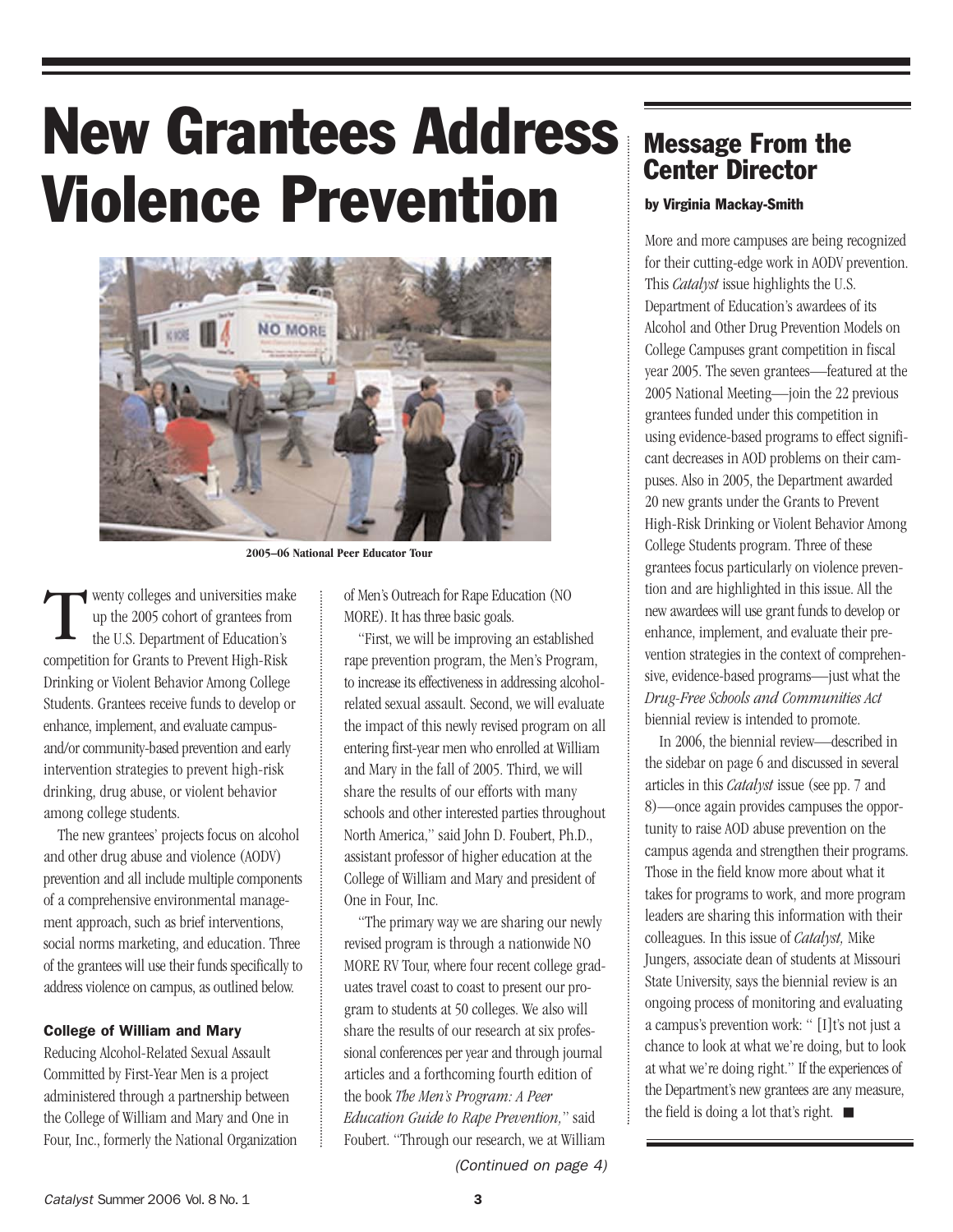# New Grantees Address Violence Prevention



**2005–06 National Peer Educator Tour**

wenty colleges and universities make up the 2005 cohort of grantees from the U.S. Department of Education's competition for Grants to Prevent High-Risk Drinking or Violent Behavior Among College Students. Grantees receive funds to develop or enhance, implement, and evaluate campusand/or community-based prevention and early intervention strategies to prevent high-risk drinking, drug abuse, or violent behavior among college students. T

The new grantees' projects focus on alcohol and other drug abuse and violence (AODV) prevention and all include multiple components of a comprehensive environmental management approach, such as brief interventions, social norms marketing, and education. Three of the grantees will use their funds specifically to address violence on campus, as outlined below.

#### College of William and Mary

Reducing Alcohol-Related Sexual Assault Committed by First-Year Men is a project administered through a partnership between the College of William and Mary and One in Four, Inc., formerly the National Organization of Men's Outreach for Rape Education (NO MORE). It has three basic goals.

"First, we will be improving an established rape prevention program, the Men's Program, to increase its effectiveness in addressing alcoholrelated sexual assault. Second, we will evaluate the impact of this newly revised program on all entering first-year men who enrolled at William and Mary in the fall of 2005. Third, we will share the results of our efforts with many schools and other interested parties throughout North America," said John D. Foubert, Ph.D., assistant professor of higher education at the College of William and Mary and president of One in Four, Inc.

"The primary way we are sharing our newly revised program is through a nationwide NO MORE RV Tour, where four recent college graduates travel coast to coast to present our program to students at 50 colleges. We also will share the results of our research at six professional conferences per year and through journal articles and a forthcoming fourth edition of the book *The Men's Program: A Peer Education Guide to Rape Prevention,*" said Foubert. "Through our research, we at William

### Message From the Center Director

#### by Virginia Mackay-Smith

More and more campuses are being recognized for their cutting-edge work in AODV prevention. This *Catalyst* issue highlights the U.S. Department of Education's awardees of its Alcohol and Other Drug Prevention Models on College Campuses grant competition in fiscal year 2005. The seven grantees—featured at the 2005 National Meeting—join the 22 previous grantees funded under this competition in using evidence-based programs to effect significant decreases in AOD problems on their campuses. Also in 2005, the Department awarded 20 new grants under the Grants to Prevent High-Risk Drinking or Violent Behavior Among College Students program. Three of these grantees focus particularly on violence prevention and are highlighted in this issue. All the new awardees will use grant funds to develop or enhance, implement, and evaluate their prevention strategies in the context of comprehensive, evidence-based programs—just what the *Drug-Free Schools and Communities Act* biennial review is intended to promote.

In 2006, the biennial review—described in the sidebar on page 6 and discussed in several articles in this *Catalyst* issue (see pp. 7 and 8)—once again provides campuses the opportunity to raise AOD abuse prevention on the campus agenda and strengthen their programs. Those in the field know more about what it takes for programs to work, and more program leaders are sharing this information with their colleagues. In this issue of *Catalyst,* Mike Jungers, associate dean of students at Missouri State University, says the biennial review is an ongoing process of monitoring and evaluating a campus's prevention work: " [I]t's not just a chance to look at what we're doing, but to look at what we're doing right." If the experiences of the Department's new grantees are any measure, the field is doing a lot that's right.  $\blacksquare$ 

(Continued on page 4)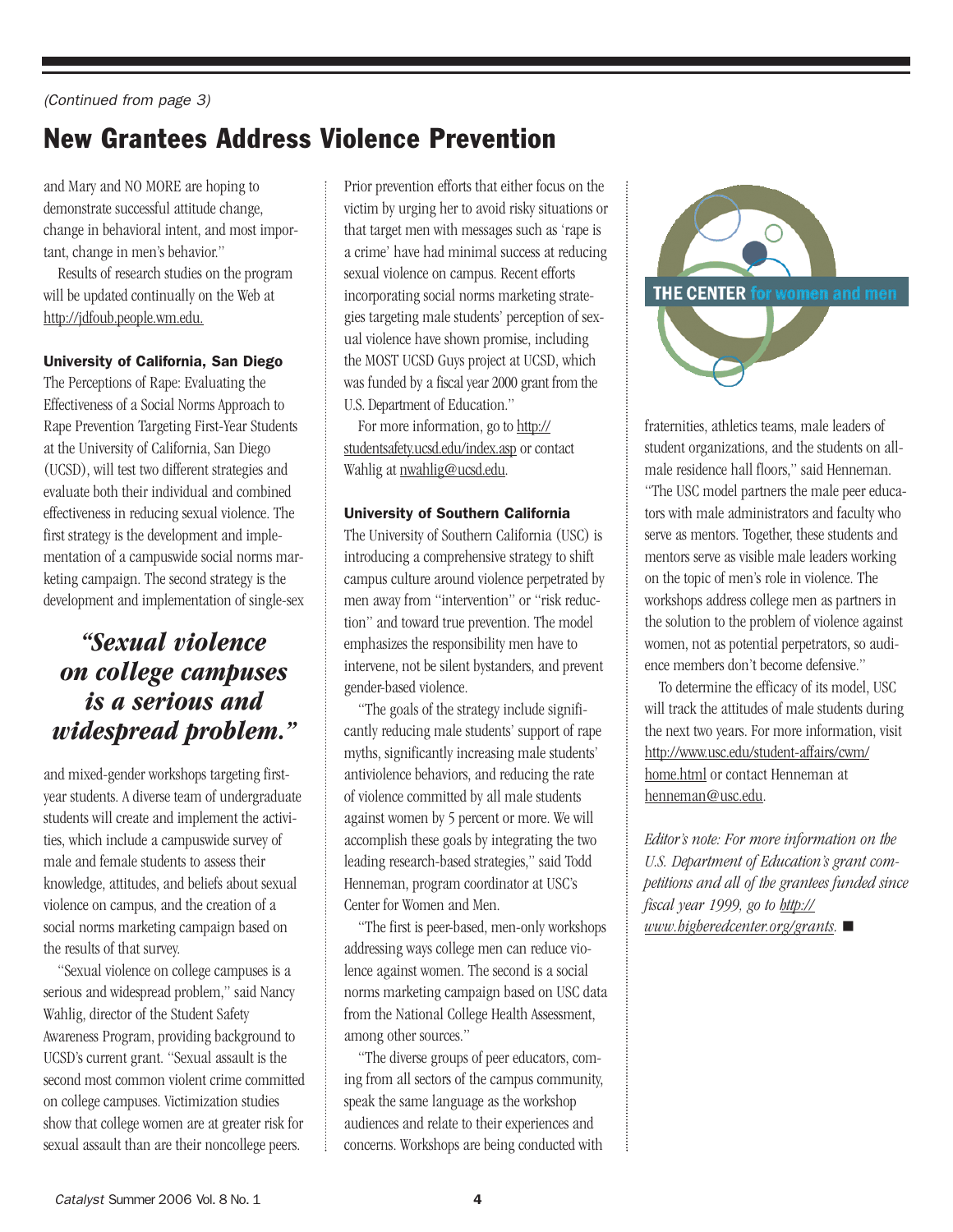# New Grantees Address Violence Prevention

and Mary and NO MORE are hoping to demonstrate successful attitude change, change in behavioral intent, and most important, change in men's behavior."

Results of research studies on the program will be updated continually on the Web at [http://jdfoub.people.wm.edu.](http://jdfoub.people.wm.edu)

#### University of California, San Diego

The Perceptions of Rape: Evaluating the Effectiveness of a Social Norms Approach to Rape Prevention Targeting First-Year Students at the University of California, San Diego (UCSD), will test two different strategies and evaluate both their individual and combined effectiveness in reducing sexual violence. The first strategy is the development and implementation of a campuswide social norms marketing campaign. The second strategy is the development and implementation of single-sex

### *"Sexual violence on college campuses is a serious and widespread problem."*

and mixed-gender workshops targeting firstyear students. A diverse team of undergraduate students will create and implement the activities, which include a campuswide survey of male and female students to assess their knowledge, attitudes, and beliefs about sexual violence on campus, and the creation of a social norms marketing campaign based on the results of that survey.

"Sexual violence on college campuses is a serious and widespread problem," said Nancy Wahlig, director of the Student Safety Awareness Program, providing background to UCSD's current grant. "Sexual assault is the second most common violent crime committed on college campuses. Victimization studies show that college women are at greater risk for sexual assault than are their noncollege peers.

Prior prevention efforts that either focus on the victim by urging her to avoid risky situations or that target men with messages such as 'rape is a crime' have had minimal success at reducing sexual violence on campus. Recent efforts incorporating social norms marketing strategies targeting male students' perception of sexual violence have shown promise, including the MOST UCSD Guys project at UCSD, which was funded by a fiscal year 2000 grant from the U.S. Department of Education."

For more information, go to [http://](http://studentsafety.ucsd.edu/index.asp) [studentsafety.ucsd.edu/index.asp](http://studentsafety.ucsd.edu/index.asp) or contact Wahlig at [nwahlig@ucsd.edu.](mailto:nwahlig@ucsd.edu)

#### University of Southern California

The University of Southern California (USC) is introducing a comprehensive strategy to shift campus culture around violence perpetrated by men away from "intervention" or "risk reduction" and toward true prevention. The model emphasizes the responsibility men have to intervene, not be silent bystanders, and prevent gender-based violence.

"The goals of the strategy include significantly reducing male students' support of rape myths, significantly increasing male students' antiviolence behaviors, and reducing the rate of violence committed by all male students against women by 5 percent or more. We will accomplish these goals by integrating the two leading research-based strategies," said Todd Henneman, program coordinator at USC's Center for Women and Men.

"The first is peer-based, men-only workshops addressing ways college men can reduce violence against women. The second is a social norms marketing campaign based on USC data from the National College Health Assessment, among other sources."

"The diverse groups of peer educators, coming from all sectors of the campus community, speak the same language as the workshop audiences and relate to their experiences and concerns. Workshops are being conducted with



fraternities, athletics teams, male leaders of student organizations, and the students on allmale residence hall floors," said Henneman. "The USC model partners the male peer educators with male administrators and faculty who serve as mentors. Together, these students and mentors serve as visible male leaders working on the topic of men's role in violence. The workshops address college men as partners in the solution to the problem of violence against women, not as potential perpetrators, so audience members don't become defensive."

To determine the efficacy of its model, USC will track the attitudes of male students during the next two years. For more information, visit [http://www.usc.edu/student-affairs/cwm/](http://www.usc.edu/student-affairs/cwm/home.html) home.html or contact Henneman at [henneman@usc.edu.](mailto:henneman@usc.edu)

*Editor's note: For more information on the U.S. Department of Education's grant competitions and all of the grantees funded since fiscal year 1999, go to [http://](http://www.higheredcenter.org/grants) [www.higheredcenter.org/grants.](http://www.higheredcenter.org/grants)* -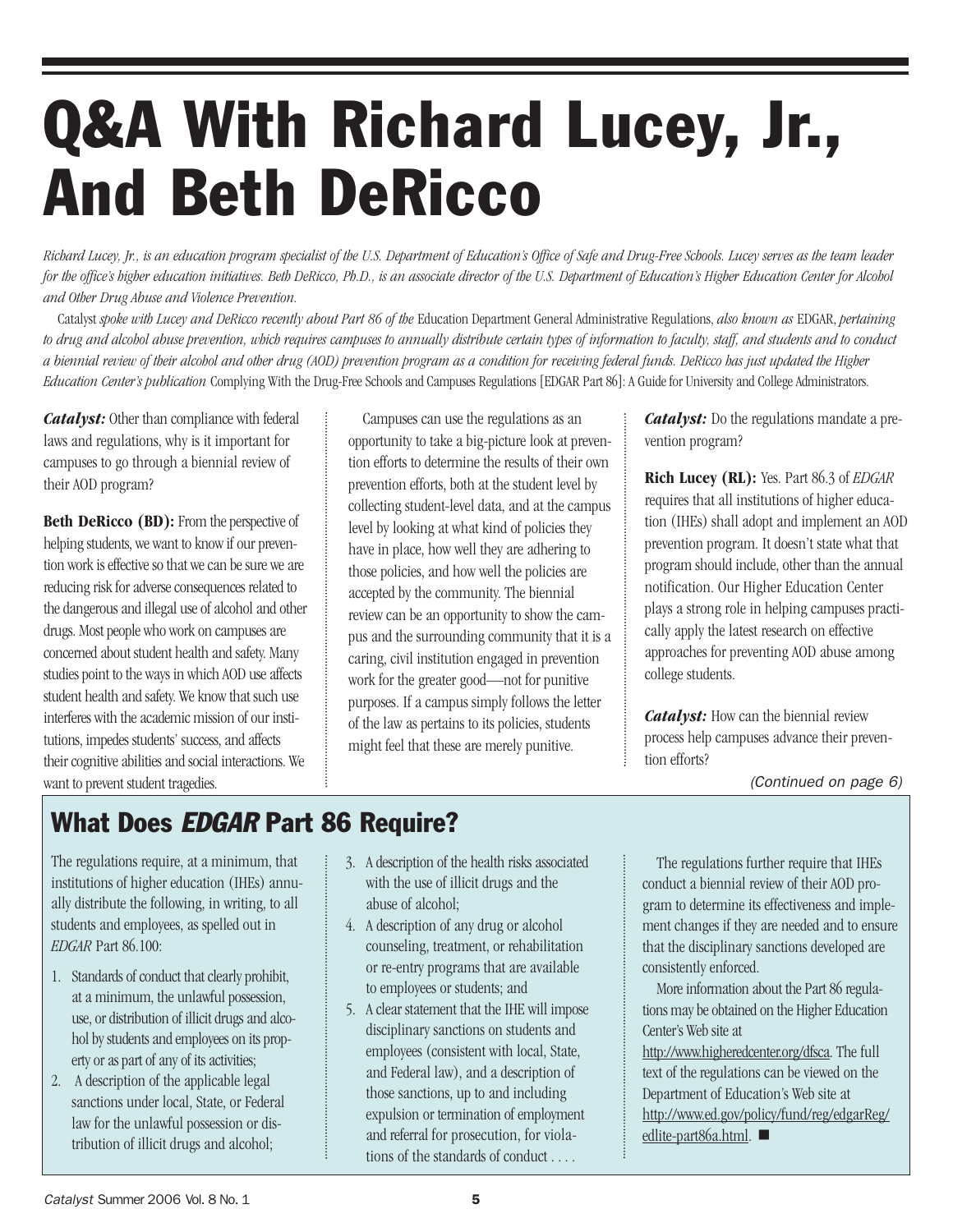# Q&A With Richard Lucey, Jr., And Beth DeRicco

*Richard Lucey, Jr., is an education program specialist of the U.S. Department of Education's Office of Safe and Drug-Free Schools. Lucey serves as the team leader for the office's higher education initiatives. Beth DeRicco, Ph.D., is an associate director of the U.S. Department of Education's Higher Education Center for Alcohol and Other Drug Abuse and Violence Prevention.* 

Catalyst *spoke with Lucey and DeRicco recently about Part 86 of the* Education Department General Administrative Regulations, *also known as* EDGAR, *pertaining to drug and alcohol abuse prevention, which requires campuses to annually distribute certain types of information to faculty, staff, and students and to conduct a biennial review of their alcohol and other drug (AOD) prevention program as a condition for receiving federal funds. DeRicco has just updated the Higher Education Center's publication* Complying With the Drug-Free Schools and Campuses Regulations [EDGAR Part 86]: A Guide for University and College Administrators.

*Catalyst:* Other than compliance with federal laws and regulations, why is it important for campuses to go through a biennial review of their AOD program?

**Beth DeRicco (BD):** From the perspective of helping students, we want to know if our prevention work is effective so that we can be sure we are reducing risk for adverse consequences related to the dangerous and illegal use of alcohol and other drugs. Most people who work on campuses are concerned about student health and safety. Many studies point to the ways in which AOD use affects student health and safety. We know that such use interferes with the academic mission of our institutions, impedes students' success, and affects their cognitive abilities and social interactions. We want to prevent student tragedies.

Campuses can use the regulations as an opportunity to take a big-picture look at prevention efforts to determine the results of their own prevention efforts, both at the student level by collecting student-level data, and at the campus level by looking at what kind of policies they have in place, how well they are adhering to those policies, and how well the policies are accepted by the community. The biennial review can be an opportunity to show the campus and the surrounding community that it is a caring, civil institution engaged in prevention work for the greater good—not for punitive purposes. If a campus simply follows the letter of the law as pertains to its policies, students might feel that these are merely punitive.

*Catalyst:* Do the regulations mandate a prevention program?

**Rich Lucey (RL):** Yes. Part 86.3 of *EDGAR* requires that all institutions of higher education (IHEs) shall adopt and implement an AOD prevention program. It doesn't state what that program should include, other than the annual notification. Our Higher Education Center plays a strong role in helping campuses practically apply the latest research on effective approaches for preventing AOD abuse among college students.

*Catalyst:* How can the biennial review process help campuses advance their prevention efforts?

(Continued on page 6)

# What Does EDGAR Part 86 Require?

The regulations require, at a minimum, that institutions of higher education (IHEs) annually distribute the following, in writing, to all students and employees, as spelled out in *EDGAR* Part 86.100:

- 1. Standards of conduct that clearly prohibit, at a minimum, the unlawful possession, use, or distribution of illicit drugs and alcohol by students and employees on its property or as part of any of its activities;
- 2. A description of the applicable legal sanctions under local, State, or Federal law for the unlawful possession or distribution of illicit drugs and alcohol;
- 3. A description of the health risks associated with the use of illicit drugs and the abuse of alcohol;
- 4. A description of any drug or alcohol counseling, treatment, or rehabilitation or re-entry programs that are available to employees or students; and
- 5. A clear statement that the IHE will impose disciplinary sanctions on students and employees (consistent with local, State, and Federal law), and a description of those sanctions, up to and including expulsion or termination of employment and referral for prosecution, for violations of the standards of conduct . . . .

The regulations further require that IHEs conduct a biennial review of their AOD program to determine its effectiveness and implement changes if they are needed and to ensure that the disciplinary sanctions developed are consistently enforced.

More information about the Part 86 regulations may be obtained on the Higher Education Center's Web site at

[http://www.higheredcenter.org/dfsca.](http://www.higheredcenter.org/dfsca) The full text of the regulations can be viewed on the Department of Education's Web site at [http://www.ed.gov/policy/fund/reg/edgarReg/](http://www.ed.gov/policy/fund/reg/edgarReg/edlite-part86a.html) edlite-part86a.html.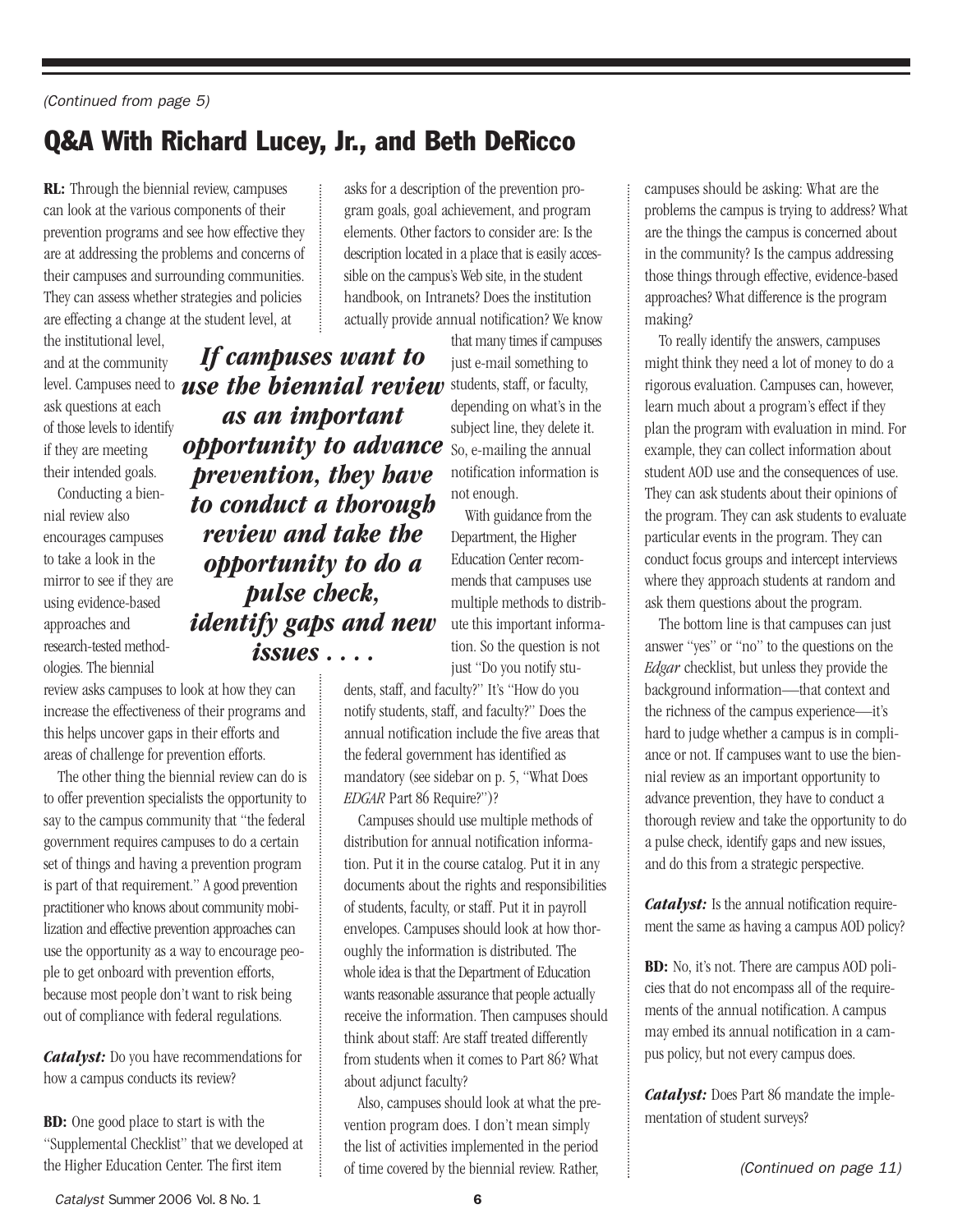# Q&A With Richard Lucey, Jr., and Beth DeRicco

**RL:** Through the biennial review, campuses can look at the various components of their prevention programs and see how effective they are at addressing the problems and concerns of their campuses and surrounding communities. They can assess whether strategies and policies are effecting a change at the student level, at

the institutional level, and at the community ask questions at each of those levels to identify if they are meeting their intended goals.

Conducting a biennial review also encourages campuses to take a look in the mirror to see if they are using evidence-based approaches and research-tested methodologies. The biennial

review asks campuses to look at how they can increase the effectiveness of their programs and this helps uncover gaps in their efforts and areas of challenge for prevention efforts.

The other thing the biennial review can do is to offer prevention specialists the opportunity to say to the campus community that "the federal government requires campuses to do a certain set of things and having a prevention program is part of that requirement." A good prevention practitioner who knows about community mobilization and effective prevention approaches can use the opportunity as a way to encourage people to get onboard with prevention efforts, because most people don't want to risk being out of compliance with federal regulations.

*Catalyst:* Do you have recommendations for how a campus conducts its review?

**BD:** One good place to start is with the "Supplemental Checklist" that we developed at the Higher Education Center. The first item

asks for a description of the prevention program goals, goal achievement, and program elements. Other factors to consider are: Is the description located in a place that is easily accessible on the campus's Web site, in the student handbook, on Intranets? Does the institution actually provide annual notification? We know

level. Campuses need to **use the biennial review** students, staff, or faculty, **opportunity to advance** So, e-mailing the annual *If campuses want to as an important prevention, they have to conduct a thorough review and take the opportunity to do a pulse check, identify gaps and new issues . . . .*

that many times if campuses just e-mail something to depending on what's in the subject line, they delete it. notification information is not enough.

With guidance from the Department, the Higher Education Center recommends that campuses use multiple methods to distribute this important information. So the question is not just "Do you notify stu-

dents, staff, and faculty?" It's "How do you notify students, staff, and faculty?" Does the annual notification include the five areas that the federal government has identified as mandatory (see sidebar on p. 5, "What Does *EDGAR* Part 86 Require?")?

Campuses should use multiple methods of distribution for annual notification information. Put it in the course catalog. Put it in any documents about the rights and responsibilities of students, faculty, or staff. Put it in payroll envelopes. Campuses should look at how thoroughly the information is distributed. The whole idea is that the Department of Education wants reasonable assurance that people actually receive the information. Then campuses should think about staff: Are staff treated differently from students when it comes to Part 86? What about adjunct faculty?

Also, campuses should look at what the prevention program does. I don't mean simply the list of activities implemented in the period of time covered by the biennial review. Rather,  $\frac{1}{2}$  (Continued on page 11)

campuses should be asking: What are the problems the campus is trying to address? What are the things the campus is concerned about in the community? Is the campus addressing those things through effective, evidence-based approaches? What difference is the program making?

To really identify the answers, campuses might think they need a lot of money to do a rigorous evaluation. Campuses can, however, learn much about a program's effect if they plan the program with evaluation in mind. For example, they can collect information about student AOD use and the consequences of use. They can ask students about their opinions of the program. They can ask students to evaluate particular events in the program. They can conduct focus groups and intercept interviews where they approach students at random and ask them questions about the program.

The bottom line is that campuses can just answer "yes" or "no" to the questions on the *Edgar* checklist, but unless they provide the background information—that context and the richness of the campus experience—it's hard to judge whether a campus is in compliance or not. If campuses want to use the biennial review as an important opportunity to advance prevention, they have to conduct a thorough review and take the opportunity to do a pulse check, identify gaps and new issues, and do this from a strategic perspective.

*Catalyst:* Is the annual notification requirement the same as having a campus AOD policy?

**BD:** No, it's not. There are campus AOD policies that do not encompass all of the requirements of the annual notification. A campus may embed its annual notification in a campus policy, but not every campus does.

*Catalyst:* Does Part 86 mandate the implementation of student surveys?

Catalyst Summer 2006 Vol. 8 No. 1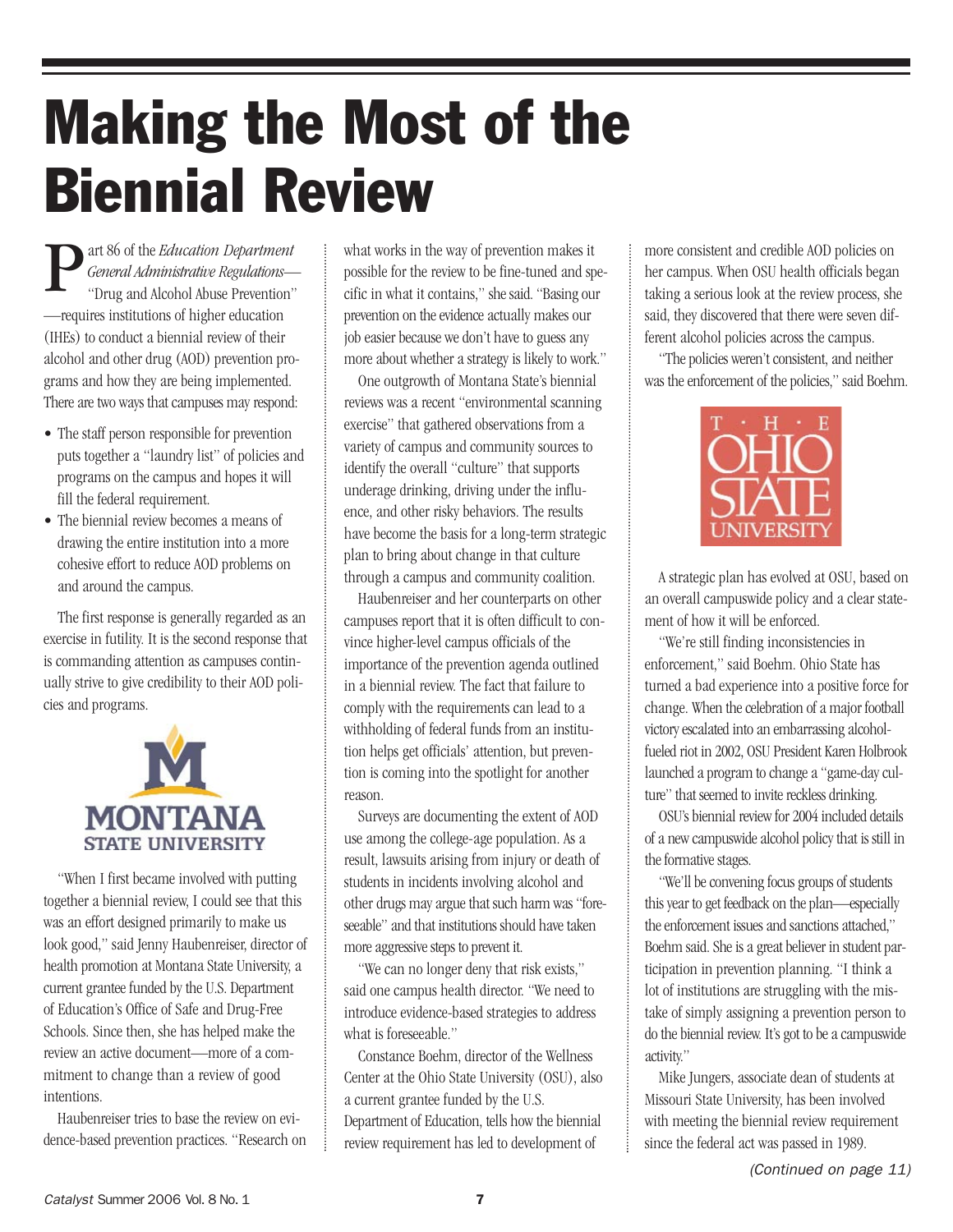# Making the Most of the Biennial Review

art 86 of the *Education Department General Administrative Regulations*— "Drug and Alcohol Abuse Prevention" —requires institutions of higher education (IHEs) to conduct a biennial review of their alcohol and other drug (AOD) prevention programs and how they are being implemented. There are two ways that campuses may respond: P

- The staff person responsible for prevention puts together a "laundry list" of policies and programs on the campus and hopes it will fill the federal requirement.
- The biennial review becomes a means of drawing the entire institution into a more cohesive effort to reduce AOD problems on and around the campus.

The first response is generally regarded as an exercise in futility. It is the second response that is commanding attention as campuses continually strive to give credibility to their AOD policies and programs.



"When I first became involved with putting together a biennial review, I could see that this was an effort designed primarily to make us look good," said Jenny Haubenreiser, director of health promotion at Montana State University, a current grantee funded by the U.S. Department of Education's Office of Safe and Drug-Free Schools. Since then, she has helped make the review an active document—more of a commitment to change than a review of good intentions.

Haubenreiser tries to base the review on evidence-based prevention practices. "Research on what works in the way of prevention makes it possible for the review to be fine-tuned and specific in what it contains," she said. "Basing our prevention on the evidence actually makes our job easier because we don't have to guess any more about whether a strategy is likely to work."

One outgrowth of Montana State's biennial reviews was a recent "environmental scanning exercise" that gathered observations from a variety of campus and community sources to identify the overall "culture" that supports underage drinking, driving under the influence, and other risky behaviors. The results have become the basis for a long-term strategic plan to bring about change in that culture through a campus and community coalition.

Haubenreiser and her counterparts on other campuses report that it is often difficult to convince higher-level campus officials of the importance of the prevention agenda outlined in a biennial review. The fact that failure to comply with the requirements can lead to a withholding of federal funds from an institution helps get officials' attention, but prevention is coming into the spotlight for another reason.

Surveys are documenting the extent of AOD use among the college-age population. As a result, lawsuits arising from injury or death of students in incidents involving alcohol and other drugs may argue that such harm was "foreseeable" and that institutions should have taken more aggressive steps to prevent it.

"We can no longer deny that risk exists," said one campus health director. "We need to introduce evidence-based strategies to address what is foreseeable."

Constance Boehm, director of the Wellness Center at the Ohio State University (OSU), also a current grantee funded by the U.S. Department of Education, tells how the biennial review requirement has led to development of

more consistent and credible AOD policies on her campus. When OSU health officials began taking a serious look at the review process, she said, they discovered that there were seven different alcohol policies across the campus.

"The policies weren't consistent, and neither was the enforcement of the policies," said Boehm.



A strategic plan has evolved at OSU, based on an overall campuswide policy and a clear statement of how it will be enforced.

"We're still finding inconsistencies in enforcement," said Boehm. Ohio State has turned a bad experience into a positive force for change. When the celebration of a major football victory escalated into an embarrassing alcoholfueled riot in 2002, OSU President Karen Holbrook launched a program to change a "game-day culture" that seemed to invite reckless drinking.

OSU's biennial review for 2004 included details of a new campuswide alcohol policy that is still in the formative stages.

"We'll be convening focus groups of students this year to get feedback on the plan—especially the enforcement issues and sanctions attached," Boehm said. She is a great believer in student participation in prevention planning. "I think a lot of institutions are struggling with the mistake of simply assigning a prevention person to do the biennial review. It's got to be a campuswide activity."

Mike Jungers, associate dean of students at Missouri State University, has been involved with meeting the biennial review requirement since the federal act was passed in 1989.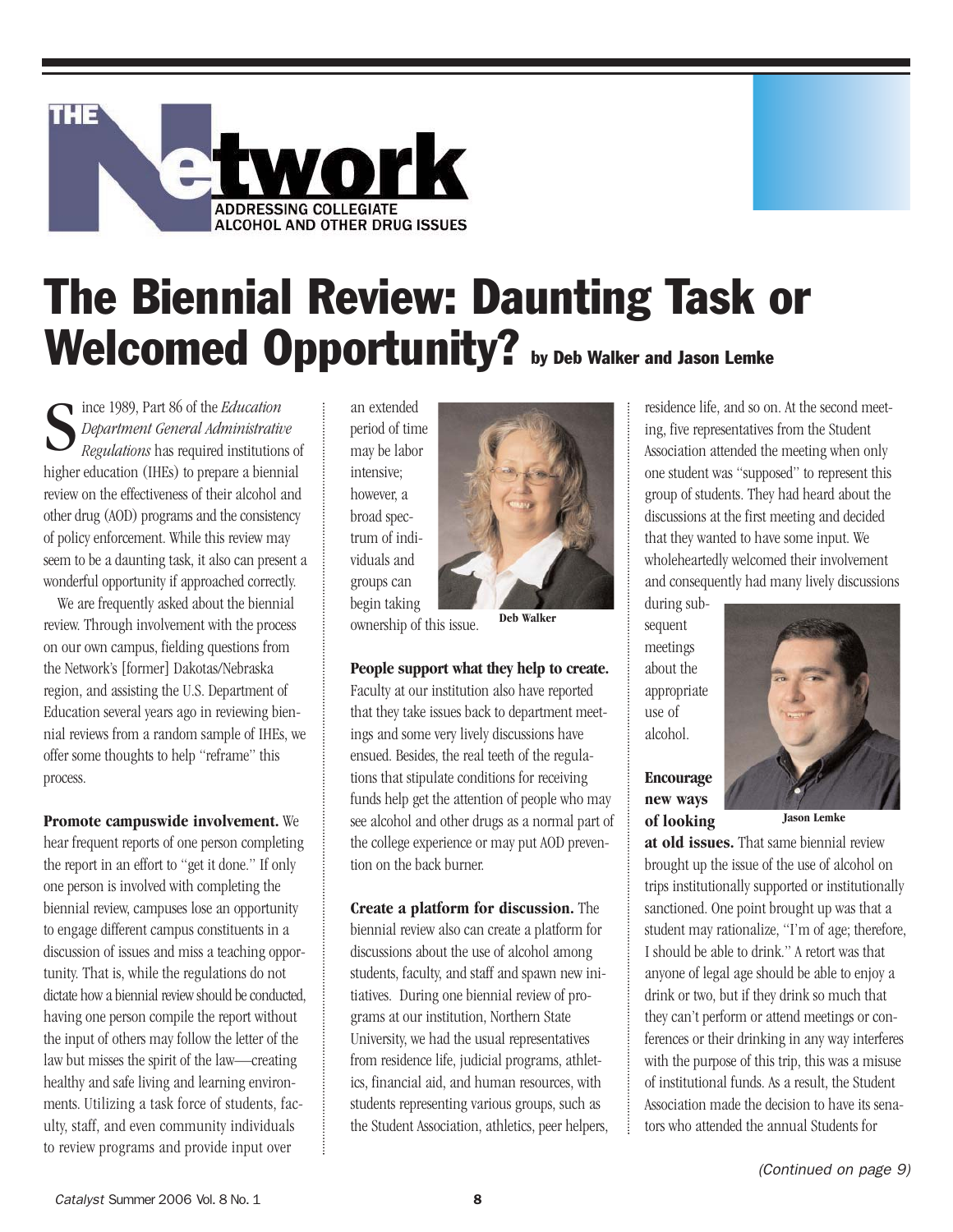

# The Biennial Review: Daunting Task or Welcomed Opportunity? by Deb Walker and Jason Lemke

ince 1989, Part 86 of the *Education Department General Administrative Regulations* has required institutions of higher education (IHEs) to prepare a biennial review on the effectiveness of their alcohol and other drug (AOD) programs and the consistency of policy enforcement. While this review may seem to be a daunting task, it also can present a wonderful opportunity if approached correctly. S

We are frequently asked about the biennial review. Through involvement with the process on our own campus, fielding questions from the Network's [former] Dakotas/Nebraska region, and assisting the U.S. Department of Education several years ago in reviewing biennial reviews from a random sample of IHEs, we offer some thoughts to help "reframe" this process.

**Promote campuswide involvement.** We hear frequent reports of one person completing the report in an effort to "get it done." If only one person is involved with completing the biennial review, campuses lose an opportunity to engage different campus constituents in a discussion of issues and miss a teaching opportunity. That is, while the regulations do not dictate how a biennial review should be conducted, having one person compile the report without the input of others may follow the letter of the law but misses the spirit of the law—creating healthy and safe living and learning environments. Utilizing a task force of students, faculty, staff, and even community individuals to review programs and provide input over

an extended period of time may be labor intensive; however, a broad spectrum of individuals and groups can begin taking



ownership of this issue.

#### **People support what they help to create.**

Faculty at our institution also have reported that they take issues back to department meetings and some very lively discussions have ensued. Besides, the real teeth of the regulations that stipulate conditions for receiving funds help get the attention of people who may see alcohol and other drugs as a normal part of the college experience or may put AOD prevention on the back burner.

**Create a platform for discussion.** The biennial review also can create a platform for discussions about the use of alcohol among students, faculty, and staff and spawn new initiatives. During one biennial review of programs at our institution, Northern State University, we had the usual representatives from residence life, judicial programs, athletics, financial aid, and human resources, with students representing various groups, such as the Student Association, athletics, peer helpers, residence life, and so on. At the second meeting, five representatives from the Student Association attended the meeting when only one student was "supposed" to represent this group of students. They had heard about the discussions at the first meeting and decided that they wanted to have some input. We wholeheartedly welcomed their involvement and consequently had many lively discussions

during subsequent meetings about the appropriate use of alcohol.

#### **Encourage new ways of looking**



**at old issues.** That same biennial review brought up the issue of the use of alcohol on trips institutionally supported or institutionally sanctioned. One point brought up was that a student may rationalize, "I'm of age; therefore, I should be able to drink." A retort was that anyone of legal age should be able to enjoy a drink or two, but if they drink so much that they can't perform or attend meetings or conferences or their drinking in any way interferes with the purpose of this trip, this was a misuse of institutional funds. As a result, the Student Association made the decision to have its senators who attended the annual Students for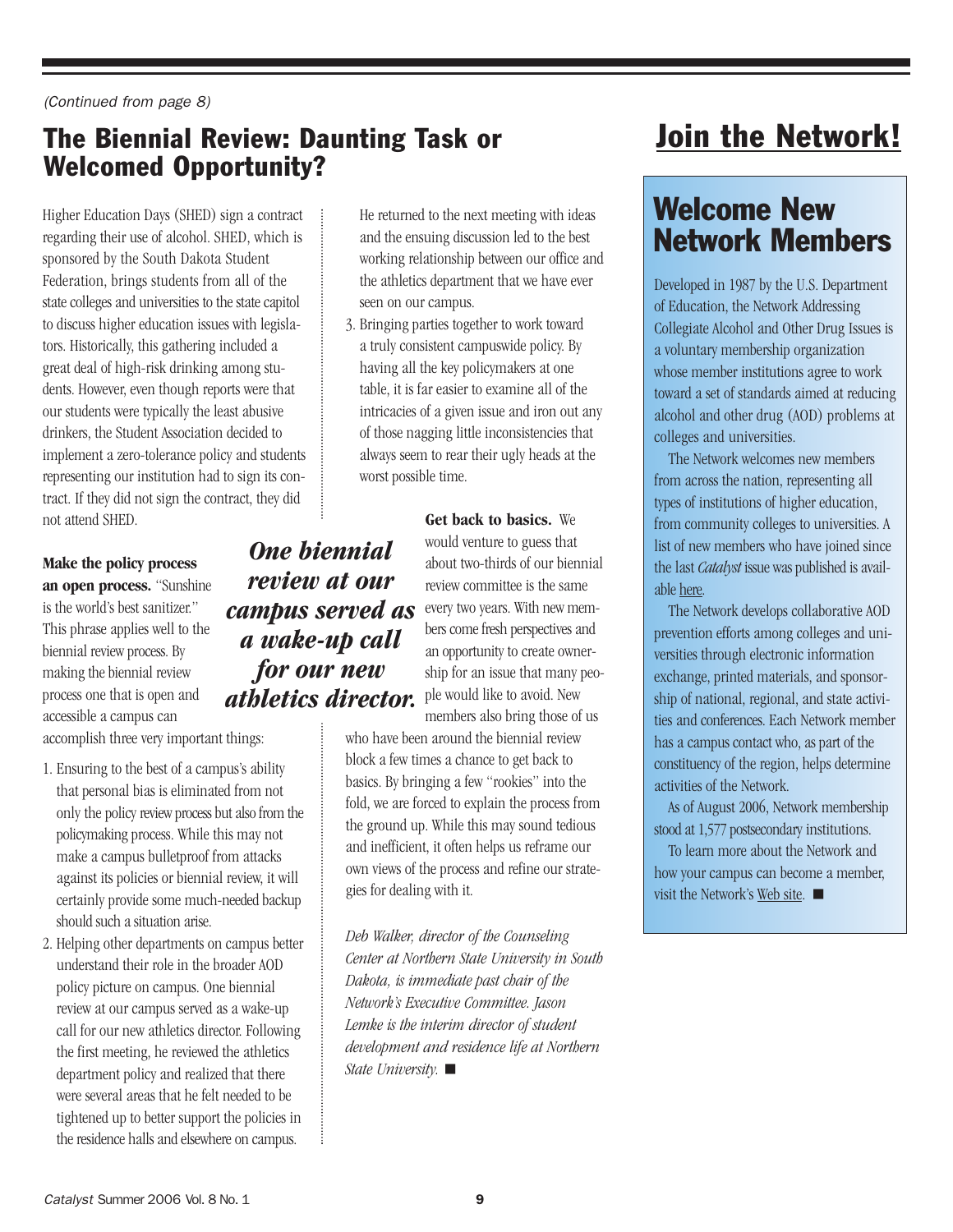(Continued from page 8)

### The Biennial Review: Daunting Task or Welcomed Opportunity?

*One biennial review at our* 

*for our new* 

Higher Education Days (SHED) sign a contract regarding their use of alcohol. SHED, which is sponsored by the South Dakota Student Federation, brings students from all of the state colleges and universities to the state capitol to discuss higher education issues with legislators. Historically, this gathering included a great deal of high-risk drinking among students. However, even though reports were that our students were typically the least abusive drinkers, the Student Association decided to implement a zero-tolerance policy and students representing our institution had to sign its contract. If they did not sign the contract, they did not attend SHED.

**Make the policy process an open process.** "Sunshine is the world's best sanitizer." This phrase applies well to the biennial review process. By making the biennial review process one that is open and accessible a campus can

accomplish three very important things:

- 1. Ensuring to the best of a campus's ability that personal bias is eliminated from not only the policy review process but also from the policymaking process. While this may not make a campus bulletproof from attacks against its policies or biennial review, it will certainly provide some much-needed backup should such a situation arise.
- 2. Helping other departments on campus better understand their role in the broader AOD policy picture on campus. One biennial review at our campus served as a wake-up call for our new athletics director. Following the first meeting, he reviewed the athletics department policy and realized that there were several areas that he felt needed to be tightened up to better support the policies in the residence halls and elsewhere on campus.

He returned to the next meeting with ideas and the ensuing discussion led to the best working relationship between our office and the athletics department that we have ever seen on our campus.

3. Bringing parties together to work toward a truly consistent campuswide policy. By having all the key policymakers at one table, it is far easier to examine all of the intricacies of a given issue and iron out any of those nagging little inconsistencies that always seem to rear their ugly heads at the worst possible time.

> **Get back to basics.** We would venture to guess that about two-thirds of our biennial review committee is the same every two years. With new members come fresh perspectives and an opportunity to create ownership for an issue that many people would like to avoid. New members also bring those of us

who have been around the biennial review block a few times a chance to get back to basics. By bringing a few "rookies" into the fold, we are forced to explain the process from the ground up. While this may sound tedious and inefficient, it often helps us reframe our own views of the process and refine our strategies for dealing with it.

*Deb Walker, director of the Counseling Center at Northern State University in South Dakota, is immediate past chair of the Network's Executive Committee. Jason Lemke is the interim director of student development and residence life at Northern State University.*  -

# [Join the Network!](http://www.thenetwork.ws/joinus.htm)

# Welcome New Network Members

Developed in 1987 by the U.S. Department of Education, the Network Addressing Collegiate Alcohol and Other Drug Issues is a voluntary membership organization whose member institutions agree to work toward a set of standards aimed at reducing alcohol and other drug (AOD) problems at colleges and universities.

The Network welcomes new members from across the nation, representing all types of institutions of higher education, from community colleges to universities. A list of new members who have joined since the last *Catalyst* issue was published is available [here.](http://www.higheredcenter.org/pubs/catalyst/network-cat4.doc)

The Network develops collaborative AOD prevention efforts among colleges and universities through electronic information exchange, printed materials, and sponsorship of national, regional, and state activities and conferences. Each Network member has a campus contact who, as part of the constituency of the region, helps determine activities of the Network.

As of August 2006, Network membership stood at 1,577 postsecondary institutions.

To learn more about the Network and how your campus can become a member, visit the Network's [Web site.](http://www.thenetwork.ws/)  $\blacksquare$ 

# *campus served as a wake-up call athletics director.*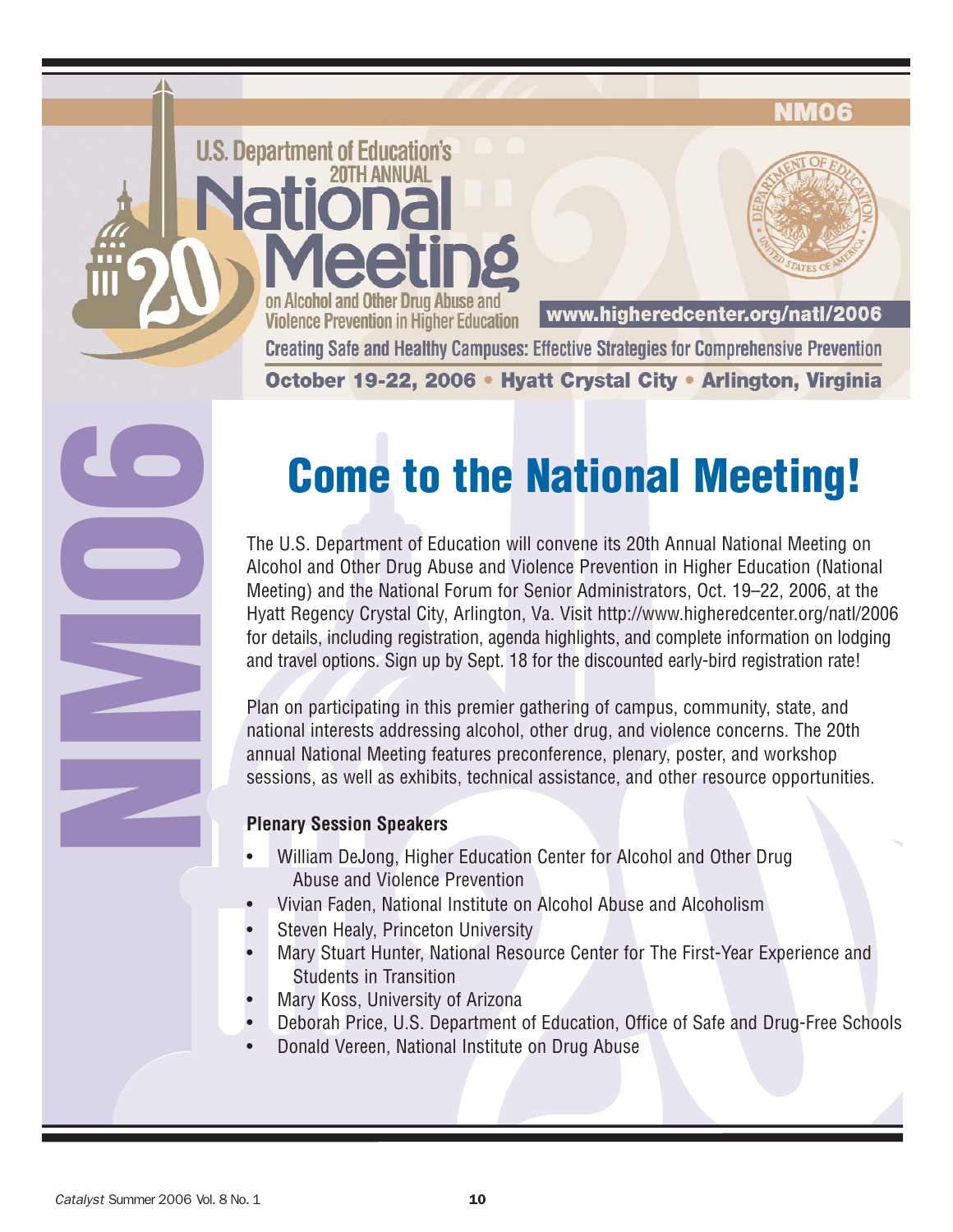#### NMO6

on Alcohol and Other Drug Abuse and www.higheredcenter.org/natl/2006 **Violence Prevention in Higher Education Creating Safe and Healthy Campuses: Effective Strategies for Comprehensive Prevention** October 19-22, 2006 • Hyatt Crystal City • Arlington, Virginia

# **Come to the National Meeting!**

The U.S. Department of Education will convene its 20th Annual National Meeting on Alcohol and Other Drug Abuse and Violence Prevention in Higher Education (National Meeting) and the National Forum for Senior Administrators, Oct. 19–22, 2006, at the Hyatt Regency Crystal City, Arlington, Va. Visit <http://www.higheredcenter.org/natl/2006> for details, including registration, agenda highlights, and complete information on lodging and travel options. Sign up by Sept. 18 for the discounted early-bird registration rate!

Plan on participating in this premier gathering of campus, community, state, and national interests addressing alcohol, other drug, and violence concerns. The 20th annual National Meeting features preconference, plenary, poster, and workshop sessions, as well as exhibits, technical assistance, and other resource opportunities.

#### **Plenary Session Speakers**

**U.S. Department of Education's** 

- William DeJong, Higher Education Center for Alcohol and Other Drug Abuse and Violence Prevention
- Vivian Faden, National Institute on Alcohol Abuse and Alcoholism
- Steven Healy, Princeton University
- Mary Stuart Hunter, National Resource Center for The First-Year Experience and Students in Transition
- Mary Koss, University of Arizona
- Deborah Price, U.S. Department of Education, Office of Safe and Drug-Free Schools
- Donald Vereen, National Institute on Drug Abuse

**NM06**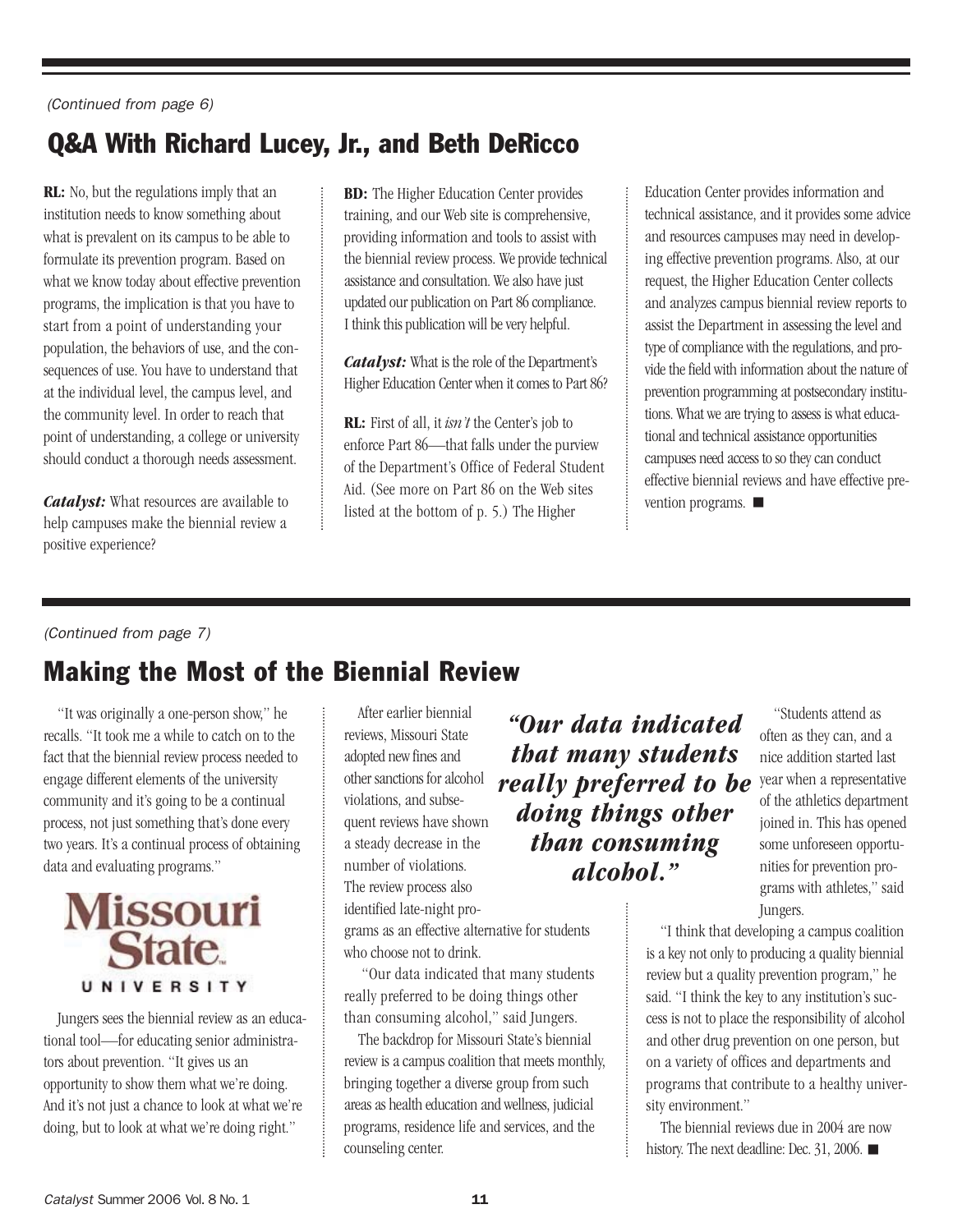#### (Continued from page 6)

### Q&A With Richard Lucey, Jr., and Beth DeRicco

**RL:** No, but the regulations imply that an institution needs to know something about what is prevalent on its campus to be able to formulate its prevention program. Based on what we know today about effective prevention programs, the implication is that you have to start from a point of understanding your population, the behaviors of use, and the consequences of use. You have to understand that at the individual level, the campus level, and the community level. In order to reach that point of understanding, a college or university should conduct a thorough needs assessment.

*Catalyst:* What resources are available to help campuses make the biennial review a positive experience?

**BD:** The Higher Education Center provides training, and our Web site is comprehensive, providing information and tools to assist with the biennial review process. We provide technical assistance and consultation. We also have just updated our publication on Part 86 compliance. I think this publication will be very helpful.

*Catalyst:* What is the role of the Department's Higher Education Center when it comes to Part 86?

**RL:** First of all, it *isn't* the Center's job to enforce Part 86—that falls under the purview of the Department's Office of Federal Student Aid. (See more on Part 86 on the Web sites listed at the bottom of p. 5.) The Higher

Education Center provides information and technical assistance, and it provides some advice and resources campuses may need in developing effective prevention programs. Also, at our request, the Higher Education Center collects and analyzes campus biennial review reports to assist the Department in assessing the level and type of compliance with the regulations, and provide the field with information about the nature of prevention programming at postsecondary institutions. What we are trying to assess is what educational and technical assistance opportunities campuses need access to so they can conduct effective biennial reviews and have effective prevention programs.  $\blacksquare$ 

#### (Continued from page 7)

### Making the Most of the Biennial Review

"It was originally a one-person show," he recalls. "It took me a while to catch on to the fact that the biennial review process needed to engage different elements of the university community and it's going to be a continual process, not just something that's done every two years. It's a continual process of obtaining data and evaluating programs."



Jungers sees the biennial review as an educational tool—for educating senior administrators about prevention. "It gives us an opportunity to show them what we're doing. And it's not just a chance to look at what we're doing, but to look at what we're doing right."

After earlier biennial reviews, Missouri State adopted new fines and other sanctions for alcohol violations, and subsequent reviews have shown a steady decrease in the number of violations. The review process also identified late-night programs as an effective alternative for students

who choose not to drink.

counseling center.

*"Our data indicated that many students really preferred to be doing things other than consuming alcohol."*

"Students attend as often as they can, and a nice addition started last year when a representative of the athletics department joined in. This has opened some unforeseen opportunities for prevention programs with athletes," said Jungers.

"I think that developing a campus coalition is a key not only to producing a quality biennial review but a quality prevention program," he said. "I think the key to any institution's success is not to place the responsibility of alcohol and other drug prevention on one person, but on a variety of offices and departments and programs that contribute to a healthy university environment."

> The biennial reviews due in 2004 are now history. The next deadline: Dec. 31, 2006.

"Our data indicated that many students really preferred to be doing things other than consuming alcohol," said Jungers. The backdrop for Missouri State's biennial review is a campus coalition that meets monthly, bringing together a diverse group from such areas as health education and wellness, judicial programs, residence life and services, and the